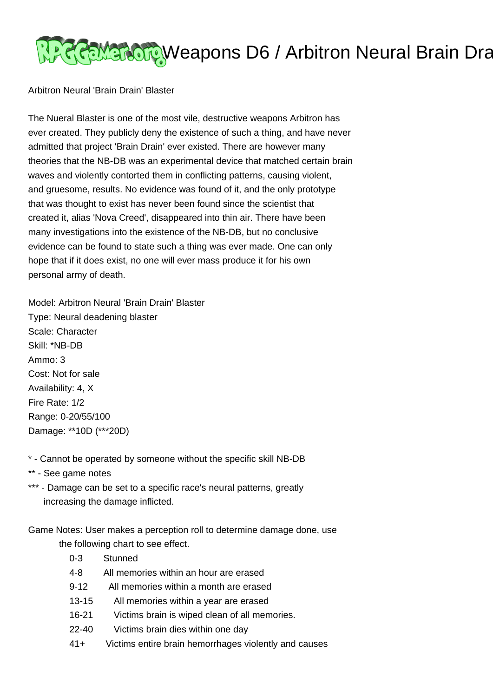

Arbitron Neural 'Brain Drain' Blaster

The Nueral Blaster is one of the most vile, destructive weapons Arbitron has ever created. They publicly deny the existence of such a thing, and have never admitted that project 'Brain Drain' ever existed. There are however many theories that the NB-DB was an experimental device that matched certain brain waves and violently contorted them in conflicting patterns, causing violent, and gruesome, results. No evidence was found of it, and the only prototype that was thought to exist has never been found since the scientist that created it, alias 'Nova Creed', disappeared into thin air. There have been many investigations into the existence of the NB-DB, but no conclusive evidence can be found to state such a thing was ever made. One can only hope that if it does exist, no one will ever mass produce it for his own personal army of death.

Model: Arbitron Neural 'Brain Drain' Blaster Type: Neural deadening blaster Scale: Character Skill: \*NB-DB Ammo: 3 Cost: Not for sale Availability: 4, X Fire Rate: 1/2 Range: 0-20/55/100 Damage: \*\*10D (\*\*\*20D)

- \* Cannot be operated by someone without the specific skill NB-DB
- \*\* See game notes
- \*\*\* Damage can be set to a specific race's neural patterns, greatly increasing the damage inflicted.

Game Notes: User makes a perception roll to determine damage done, use the following chart to see effect.

- 0-3 Stunned
- 4-8 All memories within an hour are erased
- 9-12 All memories within a month are erased
- 13-15 All memories within a year are erased
- 16-21 Victims brain is wiped clean of all memories.
- 22-40 Victims brain dies within one day
- 41+ Victims entire brain hemorrhages violently and causes